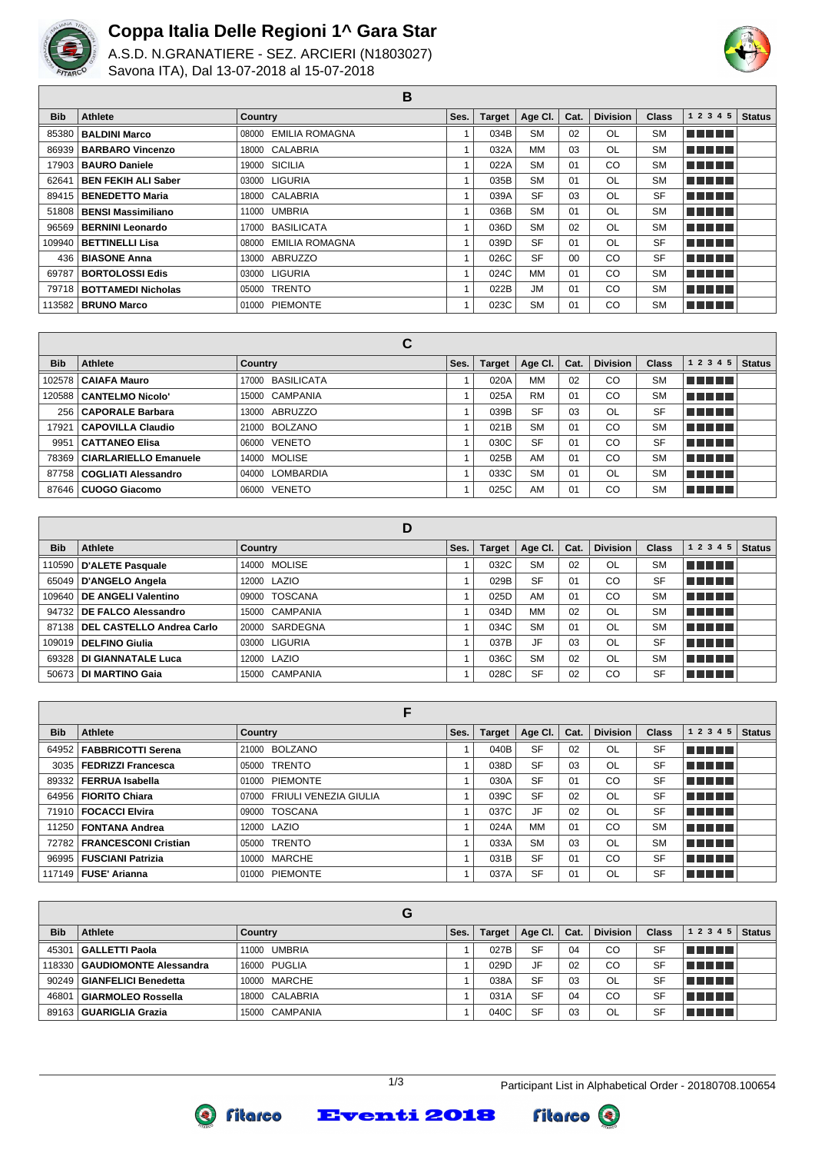

Г

## **Coppa Italia Delle Regioni 1^ Gara Star**

A.S.D. N.GRANATIERE - SEZ. ARCIERI (N1803027) Savona ITA), Dal 13-07-2018 al 15-07-2018



**B**

| <b>Bib</b> | <b>Athlete</b>             | Country              | Ses. | <b>Target</b> | Age CI.   | Cat. | <b>Division</b> | <b>Class</b> | 1 2 3 4 5      | <b>Status</b> |
|------------|----------------------------|----------------------|------|---------------|-----------|------|-----------------|--------------|----------------|---------------|
| 85380      | <b>BALDINI Marco</b>       | 08000 EMILIA ROMAGNA |      | 034B          | <b>SM</b> | 02   | OL              | <b>SM</b>    | <b>REFERE</b>  |               |
| 86939      | <b>BARBARO Vincenzo</b>    | 18000 CALABRIA       |      | 032A          | MМ        | 03   | OL              | <b>SM</b>    | <b>REAL BE</b> |               |
| 17903      | <b>BAURO Daniele</b>       | 19000 SICILIA        |      | 022A          | <b>SM</b> | 01   | CO              | <b>SM</b>    | n na mata      |               |
| 62641      | <b>BEN FEKIH ALI Saber</b> | 03000 LIGURIA        |      | 035B          | <b>SM</b> | 01   | OL              | <b>SM</b>    | <b>REFERE</b>  |               |
|            | 89415   BENEDETTO Maria    | 18000 CALABRIA       |      | 039A          | <b>SF</b> | 03   | OL              | <b>SF</b>    | <b>REAL BE</b> |               |
| 51808      | <b>BENSI Massimiliano</b>  | 11000 UMBRIA         |      | 036B          | <b>SM</b> | 01   | OL              | <b>SM</b>    | <b>RETTER</b>  |               |
| 96569      | <b>BERNINI Leonardo</b>    | 17000 BASILICATA     |      | 036D          | <b>SM</b> | 02   | OL              | <b>SM</b>    | n na mata      |               |
| 109940     | BETTINELLI Lisa            | 08000 EMILIA ROMAGNA |      | 039D          | <b>SF</b> | 01   | OL              | <b>SF</b>    | <b>REAL BE</b> |               |
| 436        | <b>BIASONE Anna</b>        | 13000 ABRUZZO        |      | 026C          | <b>SF</b> | 00   | CO              | <b>SF</b>    | <b>REAL BE</b> |               |
| 69787      | <b>BORTOLOSSI Edis</b>     | 03000 LIGURIA        |      | 024C          | <b>MM</b> | 01   | CO              | <b>SM</b>    | n na mata      |               |
| 79718      | <b>BOTTAMEDI Nicholas</b>  | 05000 TRENTO         |      | 022B          | <b>JM</b> | 01   | CO              | <b>SM</b>    | n na mata      |               |
|            | 113582   BRUNO Marco       | 01000 PIEMONTE       |      | 023C          | <b>SM</b> | 01   | CO              | <b>SM</b>    | n a mata       |               |

|            |                               | ັ                          |      |               |           |      |                 |              |                                     |               |
|------------|-------------------------------|----------------------------|------|---------------|-----------|------|-----------------|--------------|-------------------------------------|---------------|
| <b>Bib</b> | Athlete                       | Country                    | Ses. | <b>Target</b> | Age Cl.   | Cat. | <b>Division</b> | <b>Class</b> | 1 2 3 4 5                           | <b>Status</b> |
|            | 102578   CAIAFA Mauro         | <b>BASILICATA</b><br>17000 |      | 020A          | <b>MM</b> | 02   | CO              | <b>SM</b>    | l Titologia e a segundo de la conte |               |
|            | 120588   CANTELMO Nicolo'     | 15000 CAMPANIA             |      | 025A          | <b>RM</b> | 01   | CO              | <b>SM</b>    | l Titolin T                         |               |
| 256        | <b>CAPORALE Barbara</b>       | ABRUZZO<br>13000           |      | 039B          | <b>SF</b> | 03   | OL              | <b>SF</b>    | <b>RETER</b>                        |               |
| 17921      | <b>CAPOVILLA Claudio</b>      | BOLZANO<br>21000           |      | 021B          | <b>SM</b> | 01   | CO              | <b>SM</b>    | <u>in minim</u>                     |               |
| 9951       | <b>CATTANEO Elisa</b>         | <b>VENETO</b><br>06000     |      | 030C          | <b>SF</b> | 01   | CO              | SF           | l Titolin T                         |               |
|            | 78369   CIARLARIELLO Emanuele | 14000 MOLISE               |      | 025B          | AM        | 01   | CO              | <b>SM</b>    | <u>Finition in the </u>             |               |
| 87758      | COGLIATI Alessandro           | LOMBARDIA<br>04000         |      | 033C          | <b>SM</b> | 01   | OL              | <b>SM</b>    | l Titolin T                         |               |
|            | 87646   CUOGO Giacomo         | <b>VENETO</b><br>06000     |      | 025C          | AM        | 01   | CO              | <b>SM</b>    | <b>RETER</b>                        |               |

|            |                              | D              |      |               |           |      |                 |              |           |               |
|------------|------------------------------|----------------|------|---------------|-----------|------|-----------------|--------------|-----------|---------------|
| <b>Bib</b> | Athlete                      | Country        | Ses. | <b>Target</b> | Age Cl.   | Cat. | <b>Division</b> | <b>Class</b> | 1 2 3 4 5 | <b>Status</b> |
|            | 110590   D'ALETE Pasquale    | 14000 MOLISE   |      | 032C          | <b>SM</b> | 02   | <b>OL</b>       | <b>SM</b>    | TI FIFIT  |               |
|            | 65049   D'ANGELO Angela      | 12000 LAZIO    |      | 029B          | <b>SF</b> | 01   | CO              | <b>SF</b>    | TELET     |               |
|            | 109640   DE ANGELI Valentino | 09000 TOSCANA  |      | 025D          | AM        | 01   | CO              | <b>SM</b>    | n din bir |               |
|            | 94732 DE FALCO Alessandro    | 15000 CAMPANIA |      | 034D          | <b>MM</b> | 02   | <b>OL</b>       | <b>SM</b>    | TELET     |               |
| 87138      | DEL CASTELLO Andrea Carlo    | 20000 SARDEGNA |      | 034C          | <b>SM</b> | 01   | <b>OL</b>       | <b>SM</b>    | TI TI TI  |               |
|            | 109019   DELFINO Giulia      | 03000 LIGURIA  |      | 037B          | JF        | 03   | OL              | <b>SF</b>    | n din bir |               |
| 69328      | DI GIANNATALE Luca           | 12000 LAZIO    |      | 036C          | <b>SM</b> | 02   | <b>OL</b>       | <b>SM</b>    | n din bir |               |
|            | 50673   DI MARTINO Gaia      | 15000 CAMPANIA |      | 028C          | <b>SF</b> | 02   | CO              | SF           | n din b   |               |

| <b>Bib</b> | Athlete                      | Country                     | Ses. | <b>Target</b> | Age Cl.   | Cat. | <b>Division</b> | <b>Class</b> | 1 2 3 4 5  | <b>Status</b> |
|------------|------------------------------|-----------------------------|------|---------------|-----------|------|-----------------|--------------|------------|---------------|
|            | 64952   FABBRICOTTI Serena   | 21000 BOLZANO               |      | 040B          | <b>SF</b> | 02   | <b>OL</b>       | <b>SF</b>    | n ni min   |               |
| 3035       | FEDRIZZI Francesca           | 05000 TRENTO                |      | 038D          | <b>SF</b> | 03   | OL              | <b>SF</b>    | TELET      |               |
|            | 89332   FERRUA Isabella      | 01000 PIEMONTE              |      | 030A          | <b>SF</b> | 01   | CO              | <b>SF</b>    | T FI FI FI |               |
|            | 64956   FIORITO Chiara       | 07000 FRIULI VENEZIA GIULIA |      | 039C          | <b>SF</b> | 02   | OL              | <b>SF</b>    | n din Film |               |
|            | 71910   FOCACCI Elvira       | 09000 TOSCANA               |      | 037C          | JF        | 02   | OL              | <b>SF</b>    | n din bir  |               |
|            | 11250   FONTANA Andrea       | 12000 LAZIO                 |      | 024A          | МM        | 01   | CO              | <b>SM</b>    | n na mata  |               |
|            | 72782   FRANCESCONI Cristian | 05000 TRENTO                |      | 033A          | <b>SM</b> | 03   | OL              | <b>SM</b>    | n din bir  |               |
|            | 96995   FUSCIANI Patrizia    | 10000 MARCHE                |      | 031B          | <b>SF</b> | 01   | CO              | <b>SF</b>    | T FI FI FI |               |
|            | 117149   FUSE' Arianna       | 01000 PIEMONTE              |      | 037A          | <b>SF</b> | 01   | <b>OL</b>       | <b>SF</b>    | n din bir  |               |

|            |                                 | G              |      |               |           |      |                 |              |           |               |
|------------|---------------------------------|----------------|------|---------------|-----------|------|-----------------|--------------|-----------|---------------|
| <b>Bib</b> | <b>Athlete</b>                  | Country        | Ses. | <b>Target</b> | Age Cl.   | Cat. | <b>Division</b> | <b>Class</b> | 1 2 3 4 5 | <b>Status</b> |
| 45301      | GALLETTI Paola                  | 11000 UMBRIA   |      | 027B          | <b>SF</b> | 04   | CO              | <b>SF</b>    | T FIT FIT |               |
|            | 118330   GAUDIOMONTE Alessandra | 16000 PUGLIA   |      | 029D          | JF        | 02   | CO              | SF           | T FIFITI  |               |
|            | 90249   GIANFELICI Benedetta    | 10000 MARCHE   |      | 038A          | <b>SF</b> | 03   | OL              | <b>SF</b>    | TELEL     |               |
| 46801      | GIARMOLEO Rossella              | 18000 CALABRIA |      | 031A          | <b>SF</b> | 04   | CO              | <b>SF</b>    | TE E E E  |               |
|            | 89163   GUARIGLIA Grazia        | 15000 CAMPANIA |      | 040C          | <b>SF</b> | 03   | OL              | <b>SF</b>    | THEFT     |               |



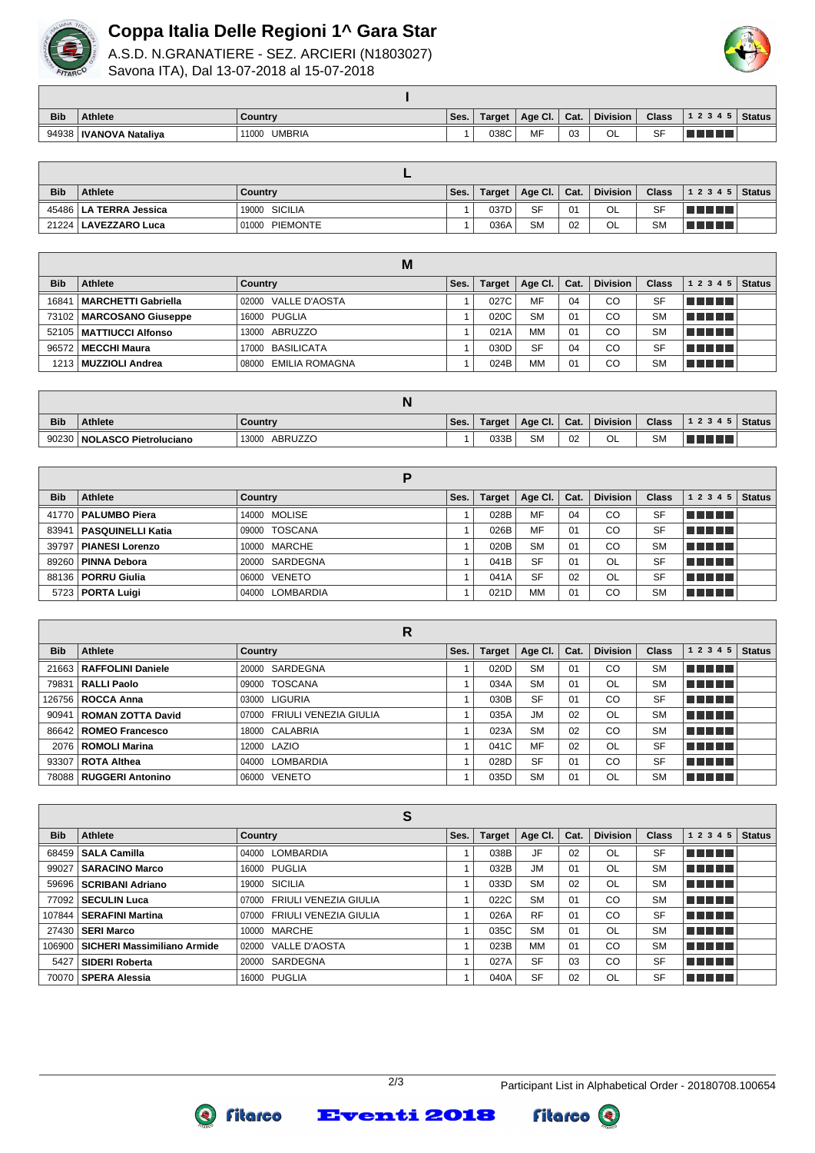

## **Coppa Italia Delle Regioni 1^ Gara Star**

A.S.D. N.GRANATIERE - SEZ. ARCIERI (N1803027) Savona ITA), Dal 13-07-2018 al 15-07-2018



| <b>Bib</b> | <b>Athlete</b>           | Country                | ' Ses. | <b>Target</b> | Age Cl. | Cat. | <b>Division</b> | <b>Class</b> | 1 2 3 4 5 | <b>Status</b> |
|------------|--------------------------|------------------------|--------|---------------|---------|------|-----------------|--------------|-----------|---------------|
|            | 94938   IVANOVA Nataliya | <b>UMBRIA</b><br>11000 |        | 038C          | MF      | 03   | ៱៲<br>◡∟        | SF           |           |               |

| <b>Bib</b> | <b>Athlete</b>           | Country           | Ses. | Target | Age Cl.   Cat. |    | <b>Division</b> | <b>Class</b> | $ 12345 $ Status |  |
|------------|--------------------------|-------------------|------|--------|----------------|----|-----------------|--------------|------------------|--|
|            | 45486   LA TERRA Jessica | 19000 SICILIA     |      | 037D   | <b>SF</b>      | 01 | OL              | <b>SF</b>    | TI TITLE         |  |
|            | 21224   LAVEZZARO Luca   | PIEMONTE<br>01000 |      | 036A   | <b>SM</b>      | 02 | OL              | <b>SM</b>    | a populati       |  |

|            |                            | M                    |      |        |           |      |                 |              |           |               |
|------------|----------------------------|----------------------|------|--------|-----------|------|-----------------|--------------|-----------|---------------|
| <b>Bib</b> | Athlete                    | Country              | Ses. | Target | Age Cl.   | Cat. | <b>Division</b> | <b>Class</b> | 1 2 3 4 5 | <b>Status</b> |
| 16841      | MARCHETTI Gabriella        | 02000 VALLE D'AOSTA  |      | 027C   | MF        | 04   | CO              | <b>SF</b>    | T FIFITI  |               |
|            | 73102   MARCOSANO Giuseppe | 16000 PUGLIA         |      | 020C   | <b>SM</b> | 01   | CO              | <b>SM</b>    | n din bir |               |
|            | 52105   MATTIUCCI Alfonso  | 13000 ABRUZZO        |      | 021A   | МM        | 01   | CO              | <b>SM</b>    | n din din |               |
|            | 96572   MECCHI Maura       | 17000 BASILICATA     |      | 030D   | <b>SF</b> | 04   | CO              | <b>SF</b>    | TELEL     |               |
|            | 1213   MUZZIOLI Andrea     | 08000 EMILIA ROMAGNA |      | 024B   | MM        | 01   | CO              | <b>SM</b>    | TI TITLE  |               |

| <b>Bib</b> | <b>Athlete</b>               | Country          | Ses. | Target | Age Cl.   | Cat.          | <b>Division</b> | <b>Class</b> | 12345     | Status |
|------------|------------------------------|------------------|------|--------|-----------|---------------|-----------------|--------------|-----------|--------|
| 90230      | <b>NOLASCO Pietroluciano</b> | ABRUZZO<br>13000 |      | 033B   | <b>SM</b> | $\sim$<br>UZ. | OL              | SM           | a popular |        |

| <b>Bib</b> | Athlete                  | Country         | Ses. | <b>Target</b> | Age Cl.   | Cat. | <b>Division</b> | <b>Class</b> | 1 2 3 4 5  | <b>Status</b> |
|------------|--------------------------|-----------------|------|---------------|-----------|------|-----------------|--------------|------------|---------------|
|            | 41770   PALUMBO Piera    | 14000 MOLISE    |      | 028B          | MF        | 04   | CO              | <b>SF</b>    | T FIFIT T  |               |
| 83941      | <b>PASQUINELLI Katia</b> | 09000 TOSCANA   |      | 026B          | MF        | 01   | CO              | <b>SF</b>    | n din biri |               |
| 39797      | <b>PIANESI Lorenzo</b>   | 10000 MARCHE    |      | 020B          | <b>SM</b> | 01   | CO              | <b>SM</b>    | n din Film |               |
| 89260      | <b>PINNA Debora</b>      | 20000 SARDEGNA  |      | 041B          | <b>SF</b> | 01   | OL              | <b>SF</b>    | n din bir  |               |
|            | 88136   PORRU Giulia     | 06000 VENETO    |      | 041A          | <b>SF</b> | 02   | <b>OL</b>       | <b>SF</b>    | TE ELE     |               |
|            | 5723   PORTA Luigi       | 04000 LOMBARDIA |      | 021D          | <b>MM</b> | 01   | CO              | <b>SM</b>    | TELET      |               |

|            |                         | R                           |      |               |           |      |                 |              |            |               |
|------------|-------------------------|-----------------------------|------|---------------|-----------|------|-----------------|--------------|------------|---------------|
| <b>Bib</b> | Athlete                 | <b>Country</b>              | Ses. | <b>Target</b> | Age Cl.   | Cat. | <b>Division</b> | <b>Class</b> | 1 2 3 4 5  | <b>Status</b> |
| 21663      | RAFFOLINI Daniele       | 20000 SARDEGNA              |      | 020D          | <b>SM</b> | 01   | CO              | <b>SM</b>    | n na mats  |               |
| 79831      | RALLI Paolo             | 09000 TOSCANA               |      | 034A          | <b>SM</b> | 01   | OL              | <b>SM</b>    | MA MATIN   |               |
|            | 126756   ROCCA Anna     | 03000 LIGURIA               |      | 030B          | <b>SF</b> | 01   | CO              | <b>SF</b>    | n din bir  |               |
| 90941      | ROMAN ZOTTA David       | 07000 FRIULI VENEZIA GIULIA |      | 035A          | <b>JM</b> | 02   | OL.             | <b>SM</b>    | n din Film |               |
|            | 86642   ROMEO Francesco | 18000 CALABRIA              |      | 023A          | <b>SM</b> | 02   | <b>CO</b>       | <b>SM</b>    | T F F F F  |               |
|            | 2076   ROMOLI Marina    | 12000 LAZIO                 |      | 041C          | MF        | 02   | OL.             | <b>SF</b>    | n din bir  |               |
| 93307      | ∣ ROTA Althea           | 04000 LOMBARDIA             |      | 028D          | <b>SF</b> | 01   | CO              | <b>SF</b>    | T FI FI FI |               |
| 78088      | RUGGERI Antonino        | 06000 VENETO                |      | 035D          | <b>SM</b> | 01   | OL              | <b>SM</b>    | T FI FI FI |               |

|            |                             | S<br><b>Division</b><br>1 2 3 4 5<br>Age Cl.<br><b>Class</b><br>Ses.<br><b>Target</b><br>Cat.<br>Country<br>n din din<br>JF<br><b>SF</b><br>038B<br>02<br>OL<br>04000 LOMBARDIA |  |      |           |    |           |           |             |               |  |  |  |  |
|------------|-----------------------------|---------------------------------------------------------------------------------------------------------------------------------------------------------------------------------|--|------|-----------|----|-----------|-----------|-------------|---------------|--|--|--|--|
| <b>Bib</b> | Athlete                     |                                                                                                                                                                                 |  |      |           |    |           |           |             | <b>Status</b> |  |  |  |  |
| 68459      | SALA Camilla                |                                                                                                                                                                                 |  |      |           |    |           |           |             |               |  |  |  |  |
| 99027      | SARACINO Marco              | 16000 PUGLIA                                                                                                                                                                    |  | 032B | <b>JM</b> | 01 | OL        | <b>SM</b> | MA MARIT    |               |  |  |  |  |
| 59696      | <b>SCRIBANI Adriano</b>     | 19000 SICILIA                                                                                                                                                                   |  | 033D | <b>SM</b> | 02 | OL        | <b>SM</b> | T FIFTE T   |               |  |  |  |  |
|            | 77092   SECULIN Luca        | 07000 FRIULI VENEZIA GIULIA                                                                                                                                                     |  | 022C | <b>SM</b> | 01 | <b>CO</b> | <b>SM</b> | TITI TITI   |               |  |  |  |  |
| 107844     | SERAFINI Martina            | 07000 FRIULI VENEZIA GIULIA                                                                                                                                                     |  | 026A | <b>RF</b> | 01 | CO        | <b>SF</b> | ma matsa    |               |  |  |  |  |
|            | 27430   SERI Marco          | 10000 MARCHE                                                                                                                                                                    |  | 035C | <b>SM</b> | 01 | OL.       | <b>SM</b> | TI TITLE    |               |  |  |  |  |
| 106900     | SICHERI Massimiliano Armide | 02000 VALLE D'AOSTA                                                                                                                                                             |  | 023B | MМ        | 01 | CO        | <b>SM</b> | n din din   |               |  |  |  |  |
| 5427       | <b>SIDERI Roberta</b>       | 20000 SARDEGNA                                                                                                                                                                  |  | 027A | <b>SF</b> | 03 | CO        | <b>SF</b> | TI TITLE    |               |  |  |  |  |
| 70070      | SPERA Alessia               | 16000 PUGLIA                                                                                                                                                                    |  | 040A | <b>SF</b> | 02 | OL        | <b>SF</b> | TI FI FI FI |               |  |  |  |  |



Fitarco <sup>®</sup>



**Q** fitarco